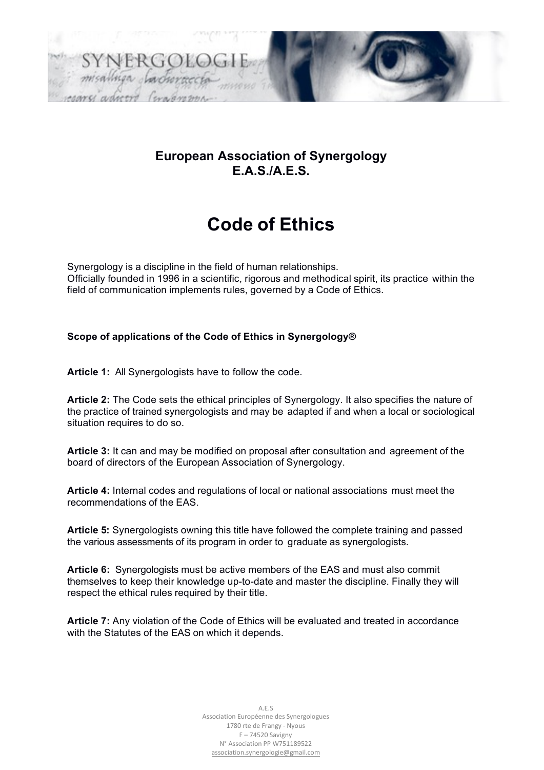

# **Code of Ethics**

Synergology is a discipline in the field of human relationships. Officially founded in 1996 in a scientific, rigorous and methodical spirit, its practice within the field of communication implements rules, governed by a Code of Ethics.

#### **Scope of applications of the Code of Ethics in Synergology®**

**Article 1:** All Synergologists have to follow the code.

**Article 2:** The Code sets the ethical principles of Synergology. It also specifies the nature of the practice of trained synergologists and may be adapted if and when a local or sociological situation requires to do so.

**Article 3:** It can and may be modified on proposal after consultation and agreement of the board of directors of the European Association of Synergology.

**Article 4:** Internal codes and regulations of local or national associations must meet the recommendations of the EAS.

**Article 5:** Synergologists owning this title have followed the complete training and passed the various assessments of its program in order to graduate as synergologists.

**Article 6:** Synergologists must be active members of the EAS and must also commit themselves to keep their knowledge up-to-date and master the discipline. Finally they will respect the ethical rules required by their title.

**Article 7:** Any violation of the Code of Ethics will be evaluated and treated in accordance with the Statutes of the EAS on which it depends.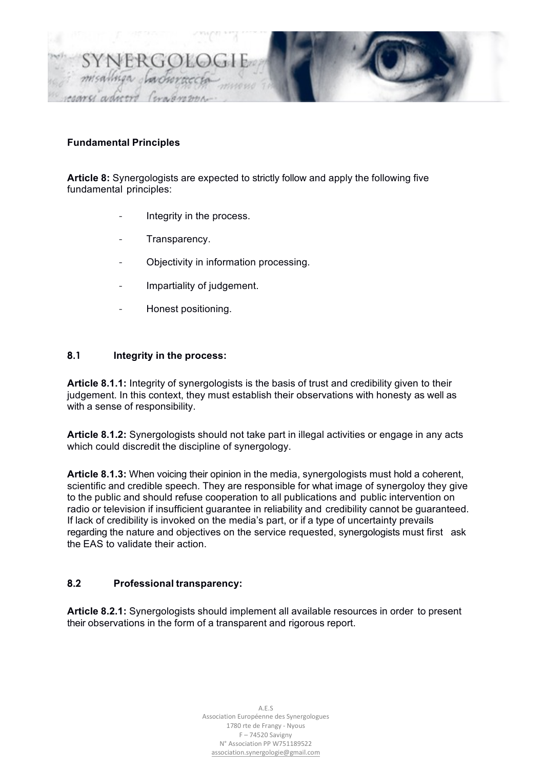

## **Fundamental Principles**

**Article 8:** Synergologists are expected to strictly follow and apply the following five fundamental principles:

- Integrity in the process.
- Transparency.
- Objectivity in information processing.
- Impartiality of judgement.
- Honest positioning.

# **8.1 Integrity in the process:**

**Article 8.1.1:** Integrity of synergologists is the basis of trust and credibility given to their judgement. In this context, they must establish their observations with honesty as well as with a sense of responsibility.

**Article 8.1.2:** Synergologists should not take part in illegal activities or engage in any acts which could discredit the discipline of synergology.

**Article 8.1.3:** When voicing their opinion in the media, synergologists must hold a coherent, scientific and credible speech. They are responsible for what image of synergoloy they give to the public and should refuse cooperation to all publications and public intervention on radio or television if insufficient guarantee in reliability and credibility cannot be guaranteed. If lack of credibility is invoked on the media's part, or if a type of uncertainty prevails regarding the nature and objectives on the service requested, synergologists must first ask the EAS to validate their action.

## **8.2 Professional transparency:**

**Article 8.2.1:** Synergologists should implement all available resources in order to present their observations in the form of a transparent and rigorous report.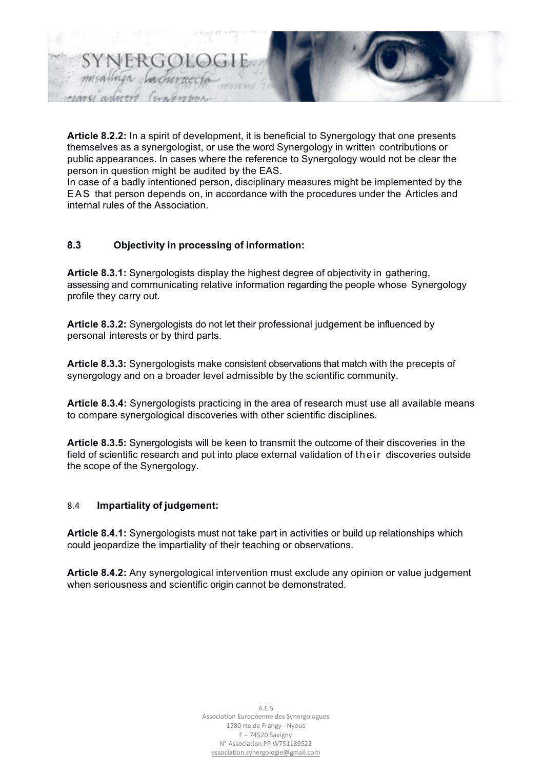

**Article 8.2.2:** In a spirit of development, it is beneficial to Synergology that one presents themselves as a synergologist, or use the word Synergology in written contributions or public appearances. In cases where the reference to Synergology would not be clear the person in question might be audited by the EAS.

In case of a badly intentioned person, disciplinary measures might be implemented by the EAS that person depends on, in accordance with the procedures under the Articles and internal rules of the Association.

# **8.3 Objectivity in processing of information:**

**Article 8.3.1:** Synergologists display the highest degree of objectivity in gathering, assessing and communicating relative information regarding the people whose Synergology profile they carry out.

**Article 8.3.2:** Synergologists do not let their professional judgement be influenced by personal interests or by third parts.

**Article 8.3.3:** Synergologists make consistent observations that match with the precepts of synergology and on a broader level admissible by the scientific community.

**Article 8.3.4:** Synergologists practicing in the area of research must use all available means to compare synergological discoveries with other scientific disciplines.

**Article 8.3.5:** Synergologists will be keen to transmit the outcome of their discoveries in the field of scientific research and put into place external validation of their discoveries outside the scope of the Synergology.

## 8.4 **Impartiality of judgement:**

**Article 8.4.1:** Synergologists must not take part in activities or build up relationships which could jeopardize the impartiality of their teaching or observations.

**Article 8.4.2:** Any synergological intervention must exclude any opinion or value judgement when seriousness and scientific origin cannot be demonstrated.